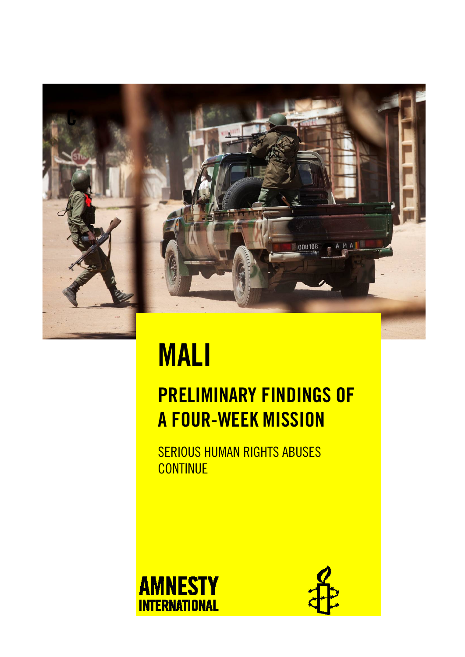

# MALI

## PRELIMINARY FINDINGS OF A FOUR-WEEK MISSION

SERIOUS HUMAN RIGHTS ABUSES **CONTINUE** 



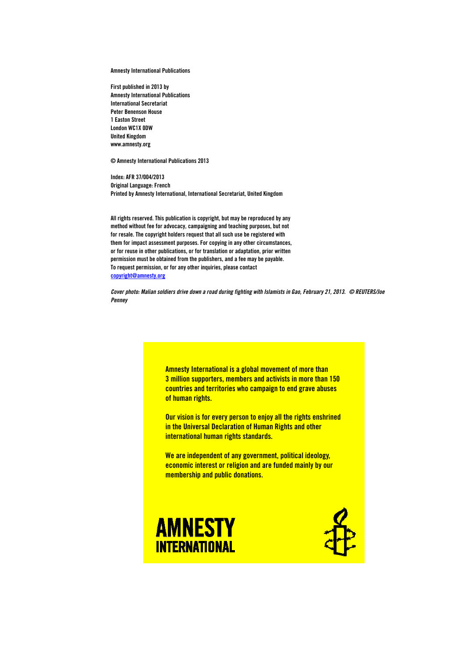Amnesty International Publications

First published in 2013 by Amnesty International Publications International Secretariat Peter Benenson House 1 Easton Street London WC1X 0DW United Kingdom www.amnesty.org

© Amnesty International Publications 2013

Index: AFR 37/004/2013 Original Language: French Printed by Amnesty International, International Secretariat, United Kingdom

All rights reserved. This publication is copyright, but may be reproduced by any method without fee for advocacy, campaigning and teaching purposes, but not for resale. The copyright holders request that all such use be registered with them for impact assessment purposes. For copying in any other circumstances, or for reuse in other publications, or for translation or adaptation, prior written permission must be obtained from the publishers, and a fee may be payable. To request permission, or for any other inquiries, please contact copyright@amnesty.org

*Cover photo: Malian soldiers drive down a road during fighting with Islamists in Gao, February 21, 2013. © REUTERS/Joe Penney* 

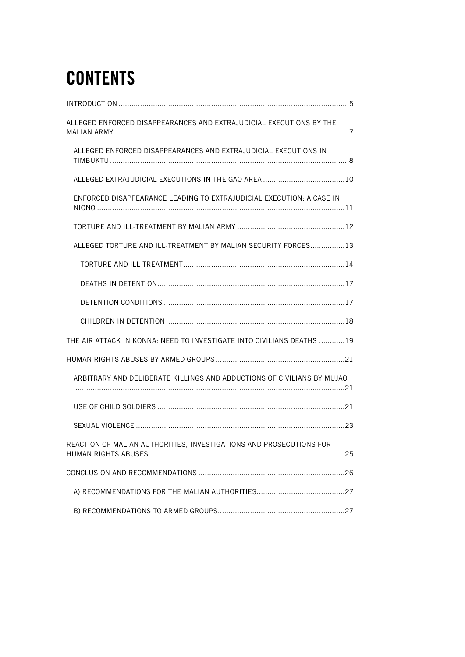## **CONTENTS**

| ALLEGED ENFORCED DISAPPEARANCES AND EXTRAJUDICIAL EXECUTIONS BY THE    |
|------------------------------------------------------------------------|
| ALLEGED ENFORCED DISAPPEARANCES AND EXTRAJUDICIAL EXECUTIONS IN        |
|                                                                        |
| ENFORCED DISAPPEARANCE LEADING TO EXTRAJUDICIAL EXECUTION: A CASE IN   |
|                                                                        |
| ALLEGED TORTURE AND ILL-TREATMENT BY MALIAN SECURITY FORCES13          |
|                                                                        |
|                                                                        |
|                                                                        |
|                                                                        |
| THE AIR ATTACK IN KONNA: NEED TO INVESTIGATE INTO CIVILIANS DEATHS 19  |
|                                                                        |
| ARBITRARY AND DELIBERATE KILLINGS AND ABDUCTIONS OF CIVILIANS BY MUJAO |
|                                                                        |
|                                                                        |
| REACTION OF MALIAN AUTHORITIES. INVESTIGATIONS AND PROSECUTIONS FOR    |
|                                                                        |
|                                                                        |
|                                                                        |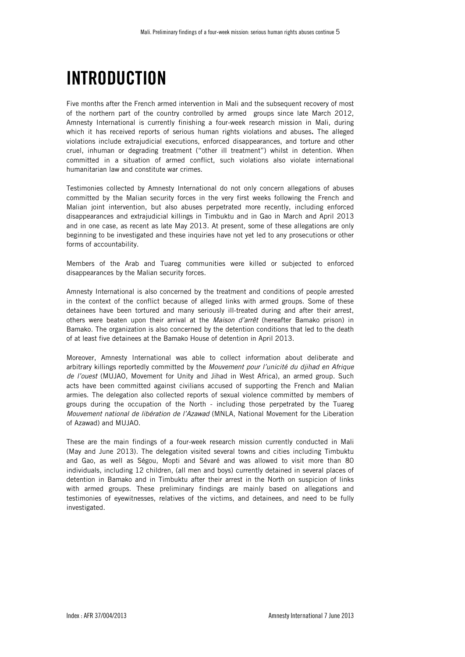## INTRODUCTION

Five months after the French armed intervention in Mali and the subsequent recovery of most of the northern part of the country controlled by armed groups since late March 2012, Amnesty International is currently finishing a four-week research mission in Mali, during which it has received reports of serious human rights violations and abuses. The alleged violations include extrajudicial executions, enforced disappearances, and torture and other cruel, inhuman or degrading treatment ("other ill treatment") whilst in detention. When committed in a situation of armed conflict, such violations also violate international humanitarian law and constitute war crimes.

Testimonies collected by Amnesty International do not only concern allegations of abuses committed by the Malian security forces in the very first weeks following the French and Malian joint intervention, but also abuses perpetrated more recently, including enforced disappearances and extrajudicial killings in Timbuktu and in Gao in March and April 2013 and in one case, as recent as late May 2013. At present, some of these allegations are only beginning to be investigated and these inquiries have not yet led to any prosecutions or other forms of accountability.

Members of the Arab and Tuareg communities were killed or subjected to enforced disappearances by the Malian security forces.

Amnesty International is also concerned by the treatment and conditions of people arrested in the context of the conflict because of alleged links with armed groups. Some of these detainees have been tortured and many seriously ill-treated during and after their arrest, others were beaten upon their arrival at the *Maison d'arrêt* (hereafter Bamako prison) in Bamako. The organization is also concerned by the detention conditions that led to the death of at least five detainees at the Bamako House of detention in April 2013.

Moreover, Amnesty International was able to collect information about deliberate and arbitrary killings reportedly committed by the *Mouvement pour l'unicité du djihad en Afrique de l'ouest* (MUJAO, Movement for Unity and Jihad in West Africa), an armed group. Such acts have been committed against civilians accused of supporting the French and Malian armies. The delegation also collected reports of sexual violence committed by members of groups during the occupation of the North - including those perpetrated by the Tuareg *Mouvement national de libération de l'Azawad* (MNLA, National Movement for the Liberation of Azawad) and MUJAO.

These are the main findings of a four-week research mission currently conducted in Mali (May and June 2013). The delegation visited several towns and cities including Timbuktu and Gao, as well as Ségou, Mopti and Sévaré and was allowed to visit more than 80 individuals, including 12 children, (all men and boys) currently detained in several places of detention in Bamako and in Timbuktu after their arrest in the North on suspicion of links with armed groups. These preliminary findings are mainly based on allegations and testimonies of eyewitnesses, relatives of the victims, and detainees, and need to be fully investigated.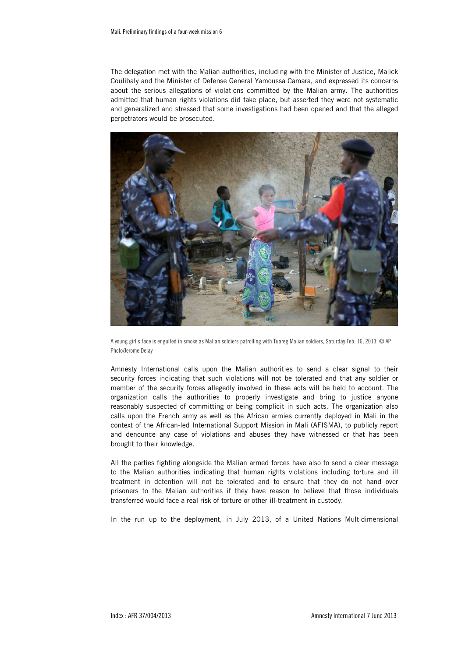The delegation met with the Malian authorities, including with the Minister of Justice, Malick Coulibaly and the Minister of Defense General Yamoussa Camara, and expressed its concerns about the serious allegations of violations committed by the Malian army. The authorities admitted that human rights violations did take place, but asserted they were not systematic and generalized and stressed that some investigations had been opened and that the alleged perpetrators would be prosecuted.



A young girl's face is engulfed in smoke as Malian soldiers patrolling with Tuareg Malian soldiers, Saturday Feb. 16, 2013. © AP Photo/Jerome Delay

Amnesty International calls upon the Malian authorities to send a clear signal to their security forces indicating that such violations will not be tolerated and that any soldier or member of the security forces allegedly involved in these acts will be held to account. The organization calls the authorities to properly investigate and bring to justice anyone reasonably suspected of committing or being complicit in such acts. The organization also calls upon the French army as well as the African armies currently deployed in Mali in the context of the African-led International Support Mission in Mali (AFISMA), to publicly report and denounce any case of violations and abuses they have witnessed or that has been brought to their knowledge.

All the parties fighting alongside the Malian armed forces have also to send a clear message to the Malian authorities indicating that human rights violations including torture and ill treatment in detention will not be tolerated and to ensure that they do not hand over prisoners to the Malian authorities if they have reason to believe that those individuals transferred would face a real risk of torture or other ill-treatment in custody.

In the run up to the deployment, in July 2013, of a United Nations Multidimensional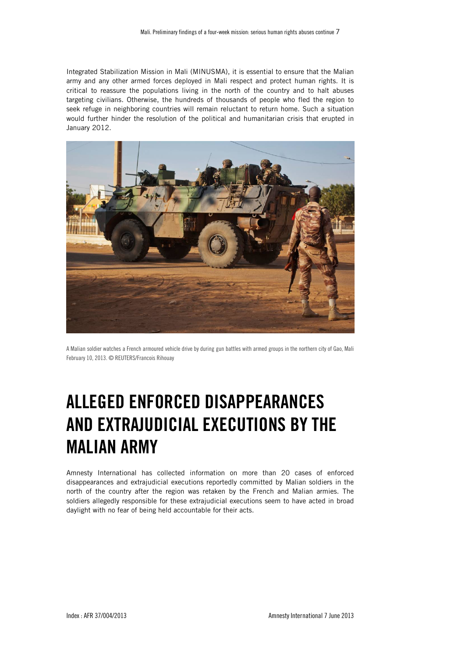Integrated Stabilization Mission in Mali (MINUSMA), it is essential to ensure that the Malian army and any other armed forces deployed in Mali respect and protect human rights. It is critical to reassure the populations living in the north of the country and to halt abuses targeting civilians. Otherwise, the hundreds of thousands of people who fled the region to seek refuge in neighboring countries will remain reluctant to return home. Such a situation would further hinder the resolution of the political and humanitarian crisis that erupted in January 2012.



A Malian soldier watches a French armoured vehicle drive by during gun battles with armed groups in the northern city of Gao, Mali February 10, 2013. © REUTERS/Francois Rihouay

## ALLEGED ENFORCED DISAPPEARANCES AND EXTRAJUDICIAL EXECUTIONS BY THE MALIAN ARMY

Amnesty International has collected information on more than 20 cases of enforced disappearances and extrajudicial executions reportedly committed by Malian soldiers in the north of the country after the region was retaken by the French and Malian armies. The soldiers allegedly responsible for these extrajudicial executions seem to have acted in broad daylight with no fear of being held accountable for their acts.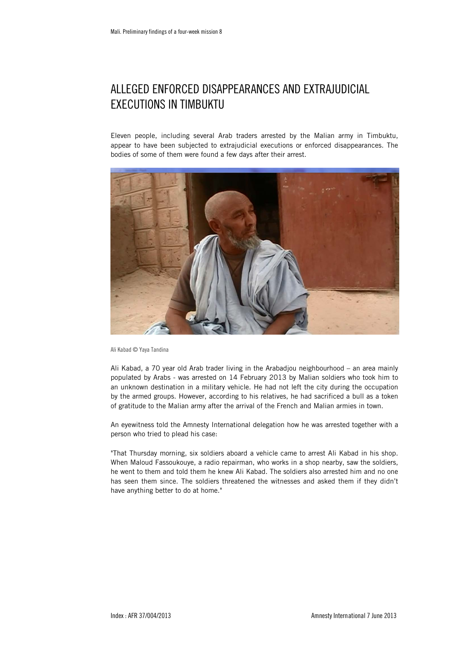## ALLEGED ENFORCED DISAPPEARANCES AND EXTRAJUDICIAL EXECUTIONS IN TIMBUKTU

Eleven people, including several Arab traders arrested by the Malian army in Timbuktu, appear to have been subjected to extrajudicial executions or enforced disappearances. The bodies of some of them were found a few days after their arrest.



Ali Kabad © Yaya Tandina

Ali Kabad, a 70 year old Arab trader living in the Arabadjou neighbourhood – an area mainly populated by Arabs - was arrested on 14 February 2013 by Malian soldiers who took him to an unknown destination in a military vehicle. He had not left the city during the occupation by the armed groups. However, according to his relatives, he had sacrificed a bull as a token of gratitude to the Malian army after the arrival of the French and Malian armies in town.

An eyewitness told the Amnesty International delegation how he was arrested together with a person who tried to plead his case:

"That Thursday morning, six soldiers aboard a vehicle came to arrest Ali Kabad in his shop. When Maloud Fassoukouye, a radio repairman, who works in a shop nearby, saw the soldiers, he went to them and told them he knew Ali Kabad. The soldiers also arrested him and no one has seen them since. The soldiers threatened the witnesses and asked them if they didn't have anything better to do at home."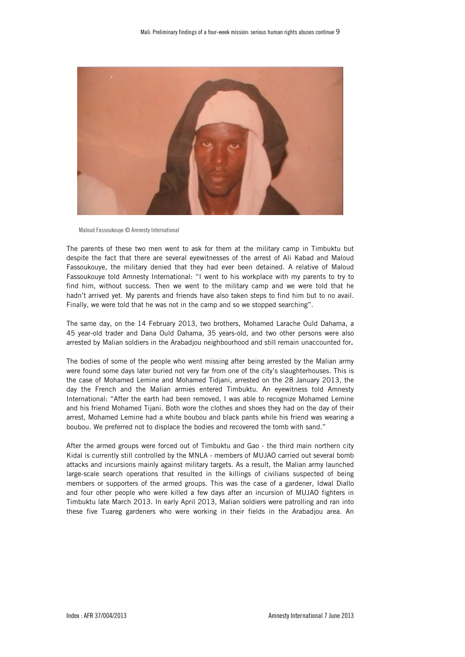

Maloud Fassoukouye © Amnesty International

The parents of these two men went to ask for them at the military camp in Timbuktu but despite the fact that there are several eyewitnesses of the arrest of Ali Kabad and Maloud Fassoukouye, the military denied that they had ever been detained. A relative of Maloud Fassoukouye told Amnesty International: "I went to his workplace with my parents to try to find him, without success. Then we went to the military camp and we were told that he hadn't arrived yet. My parents and friends have also taken steps to find him but to no avail. Finally, we were told that he was not in the camp and so we stopped searching".

The same day, on the 14 February 2013, two brothers, Mohamed Larache Ould Dahama, a 45 year-old trader and Dana Ould Dahama, 35 years-old, and two other persons were also arrested by Malian soldiers in the Arabadjou neighbourhood and still remain unaccounted for.

The bodies of some of the people who went missing after being arrested by the Malian army were found some days later buried not very far from one of the city's slaughterhouses. This is the case of Mohamed Lemine and Mohamed Tidjani, arrested on the 28 January 2013, the day the French and the Malian armies entered Timbuktu. An eyewitness told Amnesty International: "After the earth had been removed, I was able to recognize Mohamed Lemine and his friend Mohamed Tijani. Both wore the clothes and shoes they had on the day of their arrest, Mohamed Lemine had a white boubou and black pants while his friend was wearing a boubou. We preferred not to displace the bodies and recovered the tomb with sand."

After the armed groups were forced out of Timbuktu and Gao - the third main northern city Kidal is currently still controlled by the MNLA - members of MUJAO carried out several bomb attacks and incursions mainly against military targets. As a result, the Malian army launched large-scale search operations that resulted in the killings of civilians suspected of being members or supporters of the armed groups. This was the case of a gardener, Idwal Diallo and four other people who were killed a few days after an incursion of MUJAO fighters in Timbuktu late March 2013. In early April 2013, Malian soldiers were patrolling and ran into these five Tuareg gardeners who were working in their fields in the Arabadjou area. An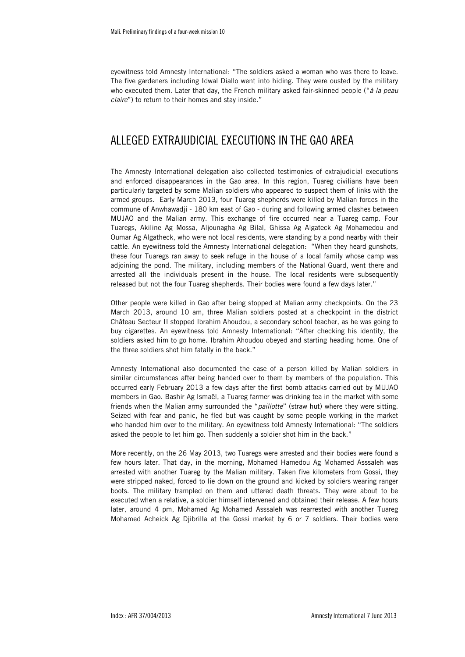eyewitness told Amnesty International: "The soldiers asked a woman who was there to leave. The five gardeners including Idwal Diallo went into hiding. They were ousted by the military who executed them. Later that day, the French military asked fair-skinned people ("*à la peau claire*") to return to their homes and stay inside."

### ALLEGED EXTRAJUDICIAL EXECUTIONS IN THE GAO AREA

The Amnesty International delegation also collected testimonies of extrajudicial executions and enforced disappearances in the Gao area. In this region, Tuareg civilians have been particularly targeted by some Malian soldiers who appeared to suspect them of links with the armed groups. Early March 2013, four Tuareg shepherds were killed by Malian forces in the commune of Anwhawadji - 180 km east of Gao - during and following armed clashes between MUJAO and the Malian army. This exchange of fire occurred near a Tuareg camp. Four Tuaregs, Akiline Ag Mossa, Aljounagha Ag Bilal, Ghissa Ag Algateck Ag Mohamedou and Oumar Ag Algatheck, who were not local residents, were standing by a pond nearby with their cattle. An eyewitness told the Amnesty International delegation: "When they heard gunshots, these four Tuaregs ran away to seek refuge in the house of a local family whose camp was adjoining the pond. The military, including members of the National Guard, went there and arrested all the individuals present in the house. The local residents were subsequently released but not the four Tuareg shepherds. Their bodies were found a few days later."

Other people were killed in Gao after being stopped at Malian army checkpoints. On the 23 March 2013, around 10 am, three Malian soldiers posted at a checkpoint in the district Château Secteur II stopped Ibrahim Ahoudou, a secondary school teacher, as he was going to buy cigarettes. An eyewitness told Amnesty International: "After checking his identity, the soldiers asked him to go home. Ibrahim Ahoudou obeyed and starting heading home. One of the three soldiers shot him fatally in the back."

Amnesty International also documented the case of a person killed by Malian soldiers in similar circumstances after being handed over to them by members of the population. This occurred early February 2013 a few days after the first bomb attacks carried out by MUJAO members in Gao. Bashir Ag Ismaël, a Tuareg farmer was drinking tea in the market with some friends when the Malian army surrounded the "*paillotte*" (straw hut) where they were sitting. Seized with fear and panic, he fled but was caught by some people working in the market who handed him over to the military. An eyewitness told Amnesty International: "The soldiers asked the people to let him go. Then suddenly a soldier shot him in the back."

More recently, on the 26 May 2013, two Tuaregs were arrested and their bodies were found a few hours later. That day, in the morning, Mohamed Hamedou Ag Mohamed Asssaleh was arrested with another Tuareg by the Malian military. Taken five kilometers from Gossi, they were stripped naked, forced to lie down on the ground and kicked by soldiers wearing ranger boots. The military trampled on them and uttered death threats. They were about to be executed when a relative, a soldier himself intervened and obtained their release. A few hours later, around 4 pm, Mohamed Ag Mohamed Asssaleh was rearrested with another Tuareg Mohamed Acheick Ag Djibrilla at the Gossi market by 6 or 7 soldiers. Their bodies were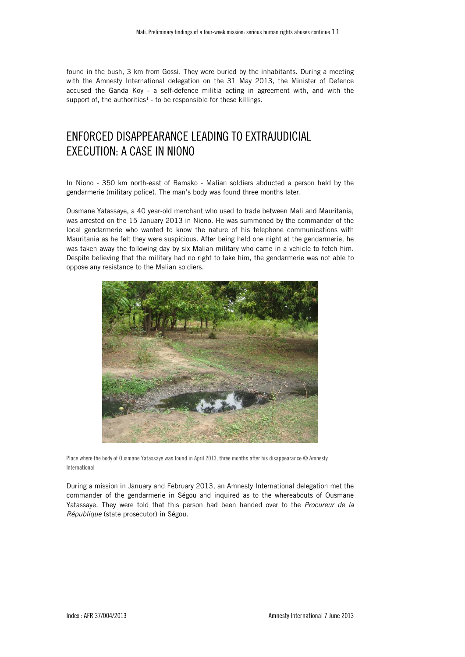found in the bush, 3 km from Gossi. They were buried by the inhabitants. During a meeting with the Amnesty International delegation on the 31 May 2013, the Minister of Defence accused the Ganda Koy - a self-defence militia acting in agreement with, and with the support of, the authorities<sup>1</sup> - to be responsible for these killings.

## ENFORCED DISAPPEARANCE LEADING TO EXTRAJUDICIAL EXECUTION: A CASE IN NIONO

In Niono - 350 km north-east of Bamako - Malian soldiers abducted a person held by the gendarmerie (military police). The man's body was found three months later.

Ousmane Yatassaye, a 40 year-old merchant who used to trade between Mali and Mauritania, was arrested on the 15 January 2013 in Niono. He was summoned by the commander of the local gendarmerie who wanted to know the nature of his telephone communications with Mauritania as he felt they were suspicious. After being held one night at the gendarmerie, he was taken away the following day by six Malian military who came in a vehicle to fetch him. Despite believing that the military had no right to take him, the gendarmerie was not able to oppose any resistance to the Malian soldiers.



Place where the body of Ousmane Yatassaye was found in April 2013, three months after his disappearance © Amnesty International

During a mission in January and February 2013, an Amnesty International delegation met the commander of the gendarmerie in Ségou and inquired as to the whereabouts of Ousmane Yatassaye. They were told that this person had been handed over to the *Procureur de la République* (state prosecutor) in Ségou.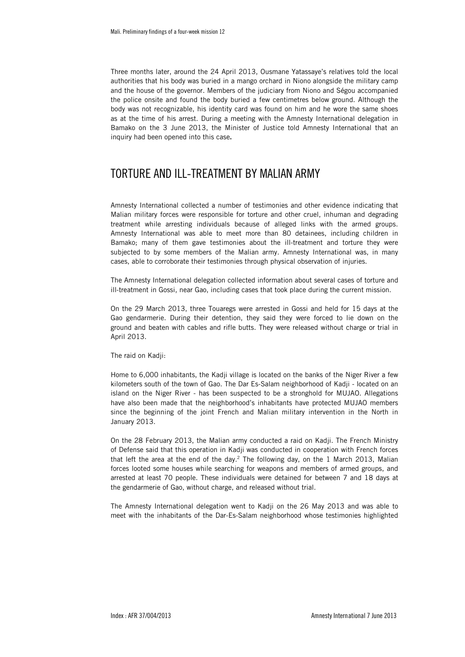Three months later, around the 24 April 2013, Ousmane Yatassaye's relatives told the local authorities that his body was buried in a mango orchard in Niono alongside the military camp and the house of the governor. Members of the judiciary from Niono and Ségou accompanied the police onsite and found the body buried a few centimetres below ground. Although the body was not recognizable, his identity card was found on him and he wore the same shoes as at the time of his arrest. During a meeting with the Amnesty International delegation in Bamako on the 3 June 2013, the Minister of Justice told Amnesty International that an inquiry had been opened into this case.

### TORTURE AND ILL-TREATMENT BY MALIAN ARMY

Amnesty International collected a number of testimonies and other evidence indicating that Malian military forces were responsible for torture and other cruel, inhuman and degrading treatment while arresting individuals because of alleged links with the armed groups. Amnesty International was able to meet more than 80 detainees, including children in Bamako; many of them gave testimonies about the ill-treatment and torture they were subjected to by some members of the Malian army. Amnesty International was, in many cases, able to corroborate their testimonies through physical observation of injuries.

The Amnesty International delegation collected information about several cases of torture and ill-treatment in Gossi, near Gao, including cases that took place during the current mission.

On the 29 March 2013, three Touaregs were arrested in Gossi and held for 15 days at the Gao gendarmerie. During their detention, they said they were forced to lie down on the ground and beaten with cables and rifle butts. They were released without charge or trial in April 2013.

The raid on Kadji:

Home to 6,000 inhabitants, the Kadji village is located on the banks of the Niger River a few kilometers south of the town of Gao. The Dar Es-Salam neighborhood of Kadji - located on an island on the Niger River - has been suspected to be a stronghold for MUJAO. Allegations have also been made that the neighborhood's inhabitants have protected MUJAO members since the beginning of the joint French and Malian military intervention in the North in January 2013.

On the 28 February 2013, the Malian army conducted a raid on Kadji. The French Ministry of Defense said that this operation in Kadji was conducted in cooperation with French forces that left the area at the end of the day.2 The following day, on the 1 March 2013, Malian forces looted some houses while searching for weapons and members of armed groups, and arrested at least 70 people. These individuals were detained for between 7 and 18 days at the gendarmerie of Gao, without charge, and released without trial.

The Amnesty International delegation went to Kadji on the 26 May 2013 and was able to meet with the inhabitants of the Dar-Es-Salam neighborhood whose testimonies highlighted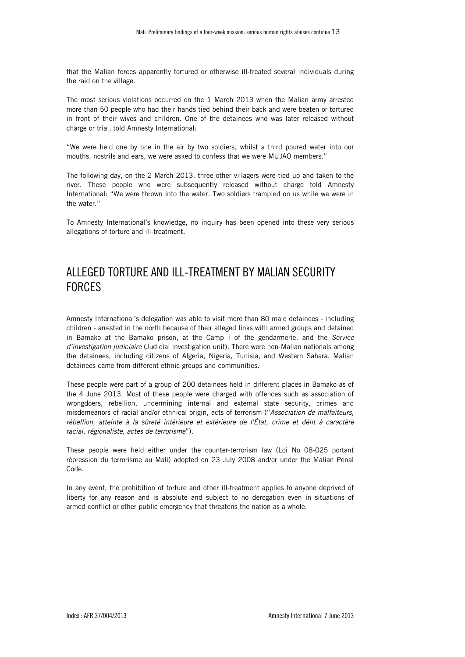that the Malian forces apparently tortured or otherwise ill-treated several individuals during the raid on the village.

The most serious violations occurred on the 1 March 2013 when the Malian army arrested more than 50 people who had their hands tied behind their back and were beaten or tortured in front of their wives and children. One of the detainees who was later released without charge or trial, told Amnesty International:

"We were held one by one in the air by two soldiers, whilst a third poured water into our mouths, nostrils and ears, we were asked to confess that we were MUJAO members."

The following day, on the 2 March 2013, three other villagers were tied up and taken to the river. These people who were subsequently released without charge told Amnesty International: "We were thrown into the water. Two soldiers trampled on us while we were in the water."

To Amnesty International's knowledge, no inquiry has been opened into these very serious allegations of torture and ill-treatment.

### ALLEGED TORTURE AND ILL-TREATMENT BY MALIAN SECURITY **FORCES**

Amnesty International's delegation was able to visit more than 80 male detainees - including children - arrested in the north because of their alleged links with armed groups and detained in Bamako at the Bamako prison, at the Camp I of the gendarmerie, and the *Service d'investigation judiciaire* (Judicial investigation unit). There were non-Malian nationals among the detainees, including citizens of Algeria, Nigeria, Tunisia, and Western Sahara. Malian detainees came from different ethnic groups and communities.

These people were part of a group of 200 detainees held in different places in Bamako as of the 4 June 2013. Most of these people were charged with offences such as association of wrongdoers, rebellion, undermining internal and external state security, crimes and misdemeanors of racial and/or ethnical origin, acts of terrorism ("*Association de malfaiteurs, rébellion, atteinte à la sûreté intérieure et extérieure de l'État, crime et délit à caractère racial, régionaliste, actes de terrorisme*").

These people were held either under the counter-terrorism law (Loi No 08-025 portant répression du terrorisme au Mali) adopted on 23 July 2008 and/or under the Malian Penal Code.

In any event, the prohibition of torture and other ill-treatment applies to anyone deprived of liberty for any reason and is absolute and subject to no derogation even in situations of armed conflict or other public emergency that threatens the nation as a whole.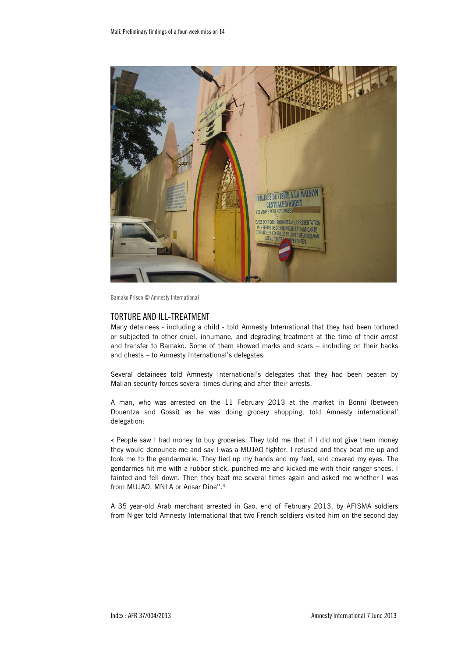

Bamako Prison © Amnesty International

#### TORTURE AND ILL-TREATMENT

Many detainees - including a child - told Amnesty International that they had been tortured or subjected to other cruel, inhumane, and degrading treatment at the time of their arrest and transfer to Bamako. Some of them showed marks and scars – including on their backs and chests – to Amnesty International's delegates.

Several detainees told Amnesty International's delegates that they had been beaten by Malian security forces several times during and after their arrests.

A man, who was arrested on the 11 February 2013 at the market in Bonni (between Douentza and Gossi) as he was doing grocery shopping, told Amnesty international' delegation:

« People saw I had money to buy groceries. They told me that if I did not give them money they would denounce me and say I was a MUJAO fighter. I refused and they beat me up and took me to the gendarmerie. They tied up my hands and my feet, and covered my eyes. The gendarmes hit me with a rubber stick, punched me and kicked me with their ranger shoes. I fainted and fell down. Then they beat me several times again and asked me whether I was from MUJAO, MNLA or Ansar Dine".3

A 35 year-old Arab merchant arrested in Gao, end of February 2013, by AFISMA soldiers from Niger told Amnesty International that two French soldiers visited him on the second day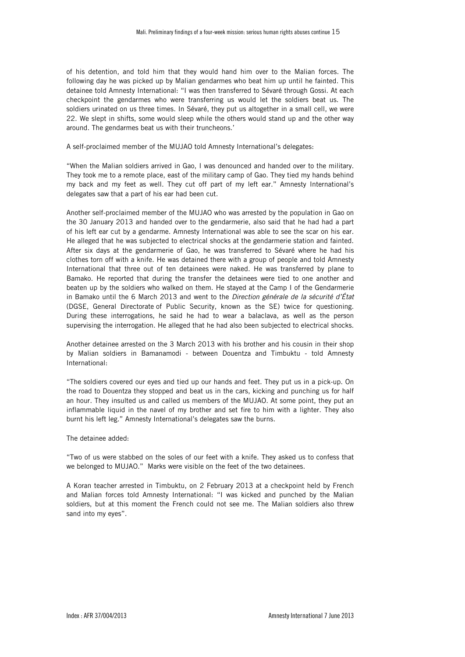of his detention, and told him that they would hand him over to the Malian forces. The following day he was picked up by Malian gendarmes who beat him up until he fainted. This detainee told Amnesty International: "I was then transferred to Sévaré through Gossi. At each checkpoint the gendarmes who were transferring us would let the soldiers beat us. The soldiers urinated on us three times. In Sévaré, they put us altogether in a small cell, we were 22. We slept in shifts, some would sleep while the others would stand up and the other way around. The gendarmes beat us with their truncheons.'

A self-proclaimed member of the MUJAO told Amnesty International's delegates:

"When the Malian soldiers arrived in Gao, I was denounced and handed over to the military. They took me to a remote place, east of the military camp of Gao. They tied my hands behind my back and my feet as well. They cut off part of my left ear." Amnesty International's delegates saw that a part of his ear had been cut.

Another self-proclaimed member of the MUJAO who was arrested by the population in Gao on the 30 January 2013 and handed over to the gendarmerie, also said that he had had a part of his left ear cut by a gendarme. Amnesty International was able to see the scar on his ear. He alleged that he was subjected to electrical shocks at the gendarmerie station and fainted. After six days at the gendarmerie of Gao, he was transferred to Sévaré where he had his clothes torn off with a knife. He was detained there with a group of people and told Amnesty International that three out of ten detainees were naked. He was transferred by plane to Bamako. He reported that during the transfer the detainees were tied to one another and beaten up by the soldiers who walked on them. He stayed at the Camp I of the Gendarmerie in Bamako until the 6 March 2013 and went to the *Direction générale de la sécurité d'État*  (DGSE, General Directorate of Public Security, known as the SE) twice for questioning. During these interrogations, he said he had to wear a balaclava, as well as the person supervising the interrogation. He alleged that he had also been subjected to electrical shocks.

Another detainee arrested on the 3 March 2013 with his brother and his cousin in their shop by Malian soldiers in Bamanamodi - between Douentza and Timbuktu - told Amnesty International:

"The soldiers covered our eyes and tied up our hands and feet. They put us in a pick-up. On the road to Douentza they stopped and beat us in the cars, kicking and punching us for half an hour. They insulted us and called us members of the MUJAO. At some point, they put an inflammable liquid in the navel of my brother and set fire to him with a lighter. They also burnt his left leg." Amnesty International's delegates saw the burns.

The detainee added:

"Two of us were stabbed on the soles of our feet with a knife. They asked us to confess that we belonged to MUJAO." Marks were visible on the feet of the two detainees.

A Koran teacher arrested in Timbuktu, on 2 February 2013 at a checkpoint held by French and Malian forces told Amnesty International: "I was kicked and punched by the Malian soldiers, but at this moment the French could not see me. The Malian soldiers also threw sand into my eyes".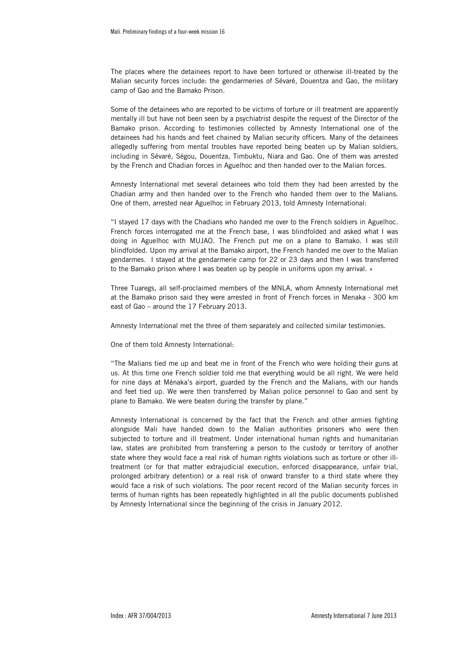The places where the detainees report to have been tortured or otherwise ill-treated by the Malian security forces include: the gendarmeries of Sévaré, Douentza and Gao, the military camp of Gao and the Bamako Prison.

Some of the detainees who are reported to be victims of torture or ill treatment are apparently mentally ill but have not been seen by a psychiatrist despite the request of the Director of the Bamako prison. According to testimonies collected by Amnesty International one of the detainees had his hands and feet chained by Malian security officers. Many of the detainees allegedly suffering from mental troubles have reported being beaten up by Malian soldiers, including in Sévaré, Ségou, Douentza, Timbuktu, Niara and Gao. One of them was arrested by the French and Chadian forces in Aguelhoc and then handed over to the Malian forces.

Amnesty International met several detainees who told them they had been arrested by the Chadian army and then handed over to the French who handed them over to the Malians. One of them, arrested near Aguelhoc in February 2013, told Amnesty International:

"I stayed 17 days with the Chadians who handed me over to the French soldiers in Aguelhoc. French forces interrogated me at the French base, I was blindfolded and asked what I was doing in Aguelhoc with MUJAO. The French put me on a plane to Bamako. I was still blindfolded. Upon my arrival at the Bamako airport, the French handed me over to the Malian gendarmes. I stayed at the gendarmerie camp for 22 or 23 days and then I was transferred to the Bamako prison where I was beaten up by people in uniforms upon my arrival. »

Three Tuaregs, all self-proclaimed members of the MNLA, whom Amnesty International met at the Bamako prison said they were arrested in front of French forces in Menaka - 300 km east of Gao – around the 17 February 2013.

Amnesty International met the three of them separately and collected similar testimonies.

One of them told Amnesty International:

"The Malians tied me up and beat me in front of the French who were holding their guns at us. At this time one French soldier told me that everything would be all right. We were held for nine days at Ménaka's airport, guarded by the French and the Malians, with our hands and feet tied up. We were then transferred by Malian police personnel to Gao and sent by plane to Bamako. We were beaten during the transfer by plane."

Amnesty International is concerned by the fact that the French and other armies fighting alongside Mali have handed down to the Malian authorities prisoners who were then subjected to torture and ill treatment. Under international human rights and humanitarian law, states are prohibited from transferring a person to the custody or territory of another state where they would face a real risk of human rights violations such as torture or other illtreatment (or for that matter extrajudicial execution, enforced disappearance, unfair trial, prolonged arbitrary detention) or a real risk of onward transfer to a third state where they would face a risk of such violations. The poor recent record of the Malian security forces in terms of human rights has been repeatedly highlighted in all the public documents published by Amnesty International since the beginning of the crisis in January 2012.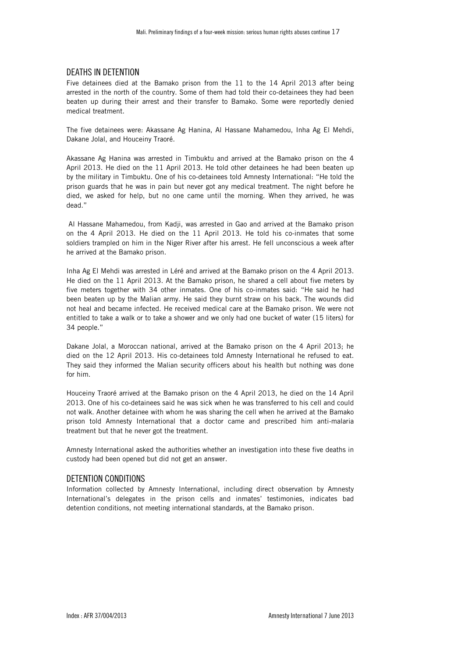#### DEATHS IN DETENTION

Five detainees died at the Bamako prison from the 11 to the 14 April 2013 after being arrested in the north of the country. Some of them had told their co-detainees they had been beaten up during their arrest and their transfer to Bamako. Some were reportedly denied medical treatment.

The five detainees were: Akassane Ag Hanina, Al Hassane Mahamedou, Inha Ag El Mehdi, Dakane Jolal, and Houceiny Traoré.

Akassane Ag Hanina was arrested in Timbuktu and arrived at the Bamako prison on the 4 April 2013. He died on the 11 April 2013. He told other detainees he had been beaten up by the military in Timbuktu. One of his co-detainees told Amnesty International: "He told the prison guards that he was in pain but never got any medical treatment. The night before he died, we asked for help, but no one came until the morning. When they arrived, he was dead."

 Al Hassane Mahamedou, from Kadji, was arrested in Gao and arrived at the Bamako prison on the 4 April 2013. He died on the 11 April 2013. He told his co-inmates that some soldiers trampled on him in the Niger River after his arrest. He fell unconscious a week after he arrived at the Bamako prison.

Inha Ag El Mehdi was arrested in Léré and arrived at the Bamako prison on the 4 April 2013. He died on the 11 April 2013. At the Bamako prison, he shared a cell about five meters by five meters together with 34 other inmates. One of his co-inmates said: "He said he had been beaten up by the Malian army. He said they burnt straw on his back. The wounds did not heal and became infected. He received medical care at the Bamako prison. We were not entitled to take a walk or to take a shower and we only had one bucket of water (15 liters) for 34 people."

Dakane Jolal, a Moroccan national, arrived at the Bamako prison on the 4 April 2013; he died on the 12 April 2013. His co-detainees told Amnesty International he refused to eat. They said they informed the Malian security officers about his health but nothing was done for him.

Houceiny Traoré arrived at the Bamako prison on the 4 April 2013, he died on the 14 April 2013. One of his co-detainees said he was sick when he was transferred to his cell and could not walk. Another detainee with whom he was sharing the cell when he arrived at the Bamako prison told Amnesty International that a doctor came and prescribed him anti-malaria treatment but that he never got the treatment.

Amnesty International asked the authorities whether an investigation into these five deaths in custody had been opened but did not get an answer.

#### DETENTION CONDITIONS

Information collected by Amnesty International, including direct observation by Amnesty International's delegates in the prison cells and inmates' testimonies, indicates bad detention conditions, not meeting international standards, at the Bamako prison.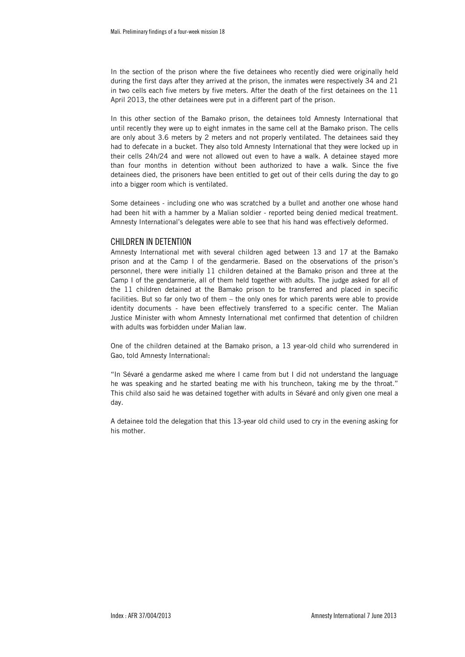In the section of the prison where the five detainees who recently died were originally held during the first days after they arrived at the prison, the inmates were respectively 34 and 21 in two cells each five meters by five meters. After the death of the first detainees on the 11 April 2013, the other detainees were put in a different part of the prison.

In this other section of the Bamako prison, the detainees told Amnesty International that until recently they were up to eight inmates in the same cell at the Bamako prison. The cells are only about 3.6 meters by 2 meters and not properly ventilated. The detainees said they had to defecate in a bucket. They also told Amnesty International that they were locked up in their cells 24h/24 and were not allowed out even to have a walk. A detainee stayed more than four months in detention without been authorized to have a walk. Since the five detainees died, the prisoners have been entitled to get out of their cells during the day to go into a bigger room which is ventilated.

Some detainees - including one who was scratched by a bullet and another one whose hand had been hit with a hammer by a Malian soldier - reported being denied medical treatment. Amnesty International's delegates were able to see that his hand was effectively deformed.

#### CHILDREN IN DETENTION

Amnesty International met with several children aged between 13 and 17 at the Bamako prison and at the Camp I of the gendarmerie. Based on the observations of the prison's personnel, there were initially 11 children detained at the Bamako prison and three at the Camp I of the gendarmerie, all of them held together with adults. The judge asked for all of the 11 children detained at the Bamako prison to be transferred and placed in specific facilities. But so far only two of them – the only ones for which parents were able to provide identity documents - have been effectively transferred to a specific center. The Malian Justice Minister with whom Amnesty International met confirmed that detention of children with adults was forbidden under Malian law.

One of the children detained at the Bamako prison, a 13 year-old child who surrendered in Gao, told Amnesty International:

"In Sévaré a gendarme asked me where I came from but I did not understand the language he was speaking and he started beating me with his truncheon, taking me by the throat." This child also said he was detained together with adults in Sévaré and only given one meal a day.

A detainee told the delegation that this 13-year old child used to cry in the evening asking for his mother.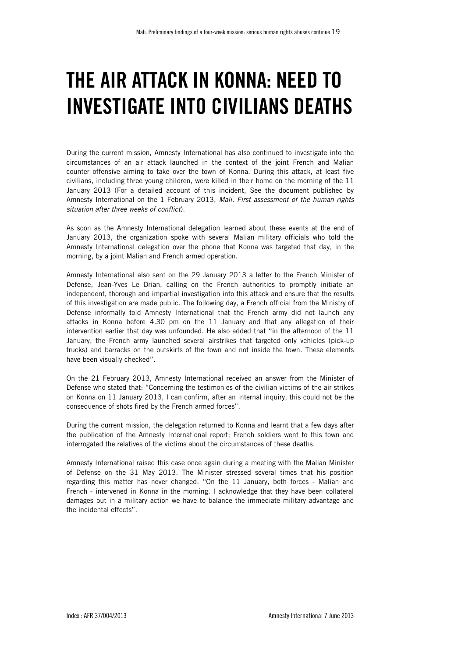## THE AIR ATTACK IN KONNA: NEED TO INVESTIGATE INTO CIVILIANS DEATHS

During the current mission, Amnesty International has also continued to investigate into the circumstances of an air attack launched in the context of the joint French and Malian counter offensive aiming to take over the town of Konna. During this attack, at least five civilians, including three young children, were killed in their home on the morning of the 11 January 2013 (For a detailed account of this incident, See the document published by Amnesty International on the 1 February 2013, *Mali. First assessment of the human rights situation after three weeks of conflict*).

As soon as the Amnesty International delegation learned about these events at the end of January 2013, the organization spoke with several Malian military officials who told the Amnesty International delegation over the phone that Konna was targeted that day, in the morning, by a joint Malian and French armed operation.

Amnesty International also sent on the 29 January 2013 a letter to the French Minister of Defense, Jean-Yves Le Drian, calling on the French authorities to promptly initiate an independent, thorough and impartial investigation into this attack and ensure that the results of this investigation are made public. The following day, a French official from the Ministry of Defense informally told Amnesty International that the French army did not launch any attacks in Konna before 4.30 pm on the 11 January and that any allegation of their intervention earlier that day was unfounded. He also added that "in the afternoon of the 11 January, the French army launched several airstrikes that targeted only vehicles (pick-up trucks) and barracks on the outskirts of the town and not inside the town. These elements have been visually checked".

On the 21 February 2013, Amnesty International received an answer from the Minister of Defense who stated that: "Concerning the testimonies of the civilian victims of the air strikes on Konna on 11 January 2013, I can confirm, after an internal inquiry, this could not be the consequence of shots fired by the French armed forces".

During the current mission, the delegation returned to Konna and learnt that a few days after the publication of the Amnesty International report; French soldiers went to this town and interrogated the relatives of the victims about the circumstances of these deaths.

Amnesty International raised this case once again during a meeting with the Malian Minister of Defense on the 31 May 2013. The Minister stressed several times that his position regarding this matter has never changed. "On the 11 January, both forces - Malian and French - intervened in Konna in the morning. I acknowledge that they have been collateral damages but in a military action we have to balance the immediate military advantage and the incidental effects".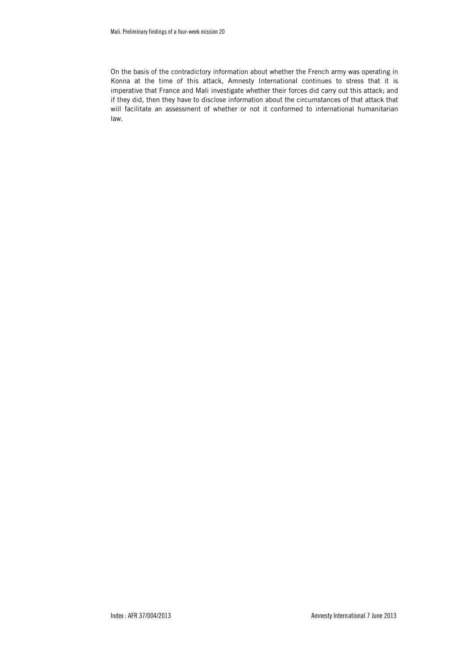On the basis of the contradictory information about whether the French army was operating in Konna at the time of this attack, Amnesty International continues to stress that it is imperative that France and Mali investigate whether their forces did carry out this attack; and if they did, then they have to disclose information about the circumstances of that attack that will facilitate an assessment of whether or not it conformed to international humanitarian law.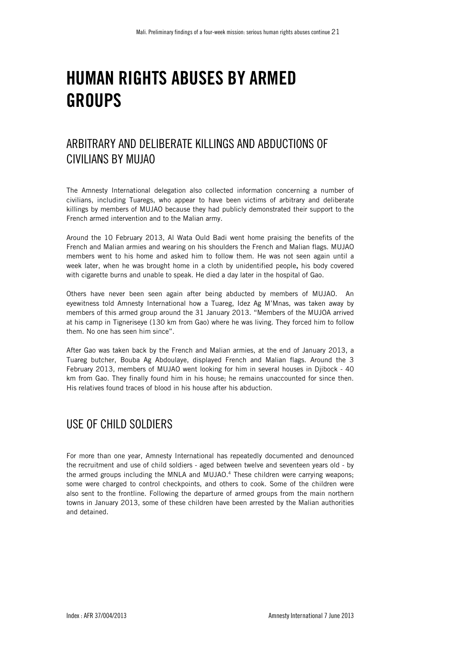## HUMAN RIGHTS ABUSES BY ARMED GROUPS

### ARBITRARY AND DELIBERATE KILLINGS AND ABDUCTIONS OF CIVILIANS BY MUJAO

The Amnesty International delegation also collected information concerning a number of civilians, including Tuaregs, who appear to have been victims of arbitrary and deliberate killings by members of MUJAO because they had publicly demonstrated their support to the French armed intervention and to the Malian army.

Around the 10 February 2013, Al Wata Ould Badi went home praising the benefits of the French and Malian armies and wearing on his shoulders the French and Malian flags. MUJAO members went to his home and asked him to follow them. He was not seen again until a week later, when he was brought home in a cloth by unidentified people, his body covered with cigarette burns and unable to speak. He died a day later in the hospital of Gao.

Others have never been seen again after being abducted by members of MUJAO. An eyewitness told Amnesty International how a Tuareg, Idez Ag M'Mnas, was taken away by members of this armed group around the 31 January 2013. "Members of the MUJOA arrived at his camp in Tigneriseye (130 km from Gao) where he was living. They forced him to follow them. No one has seen him since".

After Gao was taken back by the French and Malian armies, at the end of January 2013, a Tuareg butcher, Bouba Ag Abdoulaye, displayed French and Malian flags. Around the 3 February 2013, members of MUJAO went looking for him in several houses in Djibock - 40 km from Gao. They finally found him in his house; he remains unaccounted for since then. His relatives found traces of blood in his house after his abduction.

## USE OF CHILD SOLDIERS

For more than one year, Amnesty International has repeatedly documented and denounced the recruitment and use of child soldiers - aged between twelve and seventeen years old - by the armed groups including the MNLA and MUJAO.4 These children were carrying weapons; some were charged to control checkpoints, and others to cook. Some of the children were also sent to the frontline. Following the departure of armed groups from the main northern towns in January 2013, some of these children have been arrested by the Malian authorities and detained.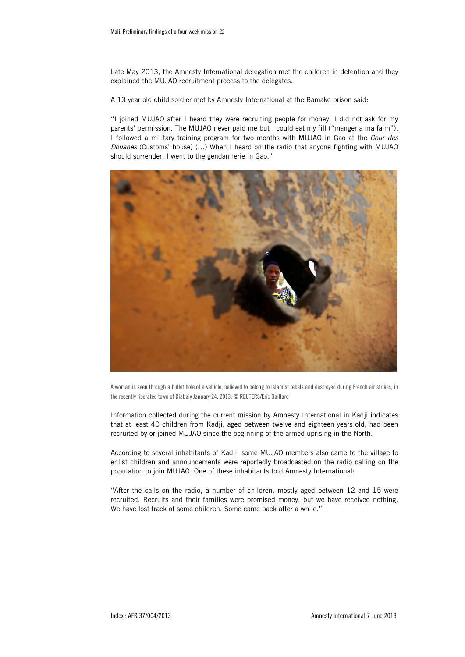Late May 2013, the Amnesty International delegation met the children in detention and they explained the MUJAO recruitment process to the delegates.

A 13 year old child soldier met by Amnesty International at the Bamako prison said:

"I joined MUJAO after I heard they were recruiting people for money. I did not ask for my parents' permission. The MUJAO never paid me but I could eat my fill ("manger a ma faim"). I followed a military training program for two months with MUJAO in Gao at the *Cour des Douanes* (Customs' house) (…) When I heard on the radio that anyone fighting with MUJAO should surrender, I went to the gendarmerie in Gao."



A woman is seen through a bullet hole of a vehicle, believed to belong to Islamist rebels and destroyed during French air strikes, in the recently liberated town of Diabaly January 24, 2013. © REUTERS/Eric Gaillard

Information collected during the current mission by Amnesty International in Kadji indicates that at least 40 children from Kadji, aged between twelve and eighteen years old, had been recruited by or joined MUJAO since the beginning of the armed uprising in the North.

According to several inhabitants of Kadji, some MUJAO members also came to the village to enlist children and announcements were reportedly broadcasted on the radio calling on the population to join MUJAO. One of these inhabitants told Amnesty International:

"After the calls on the radio, a number of children, mostly aged between 12 and 15 were recruited. Recruits and their families were promised money, but we have received nothing. We have lost track of some children. Some came back after a while."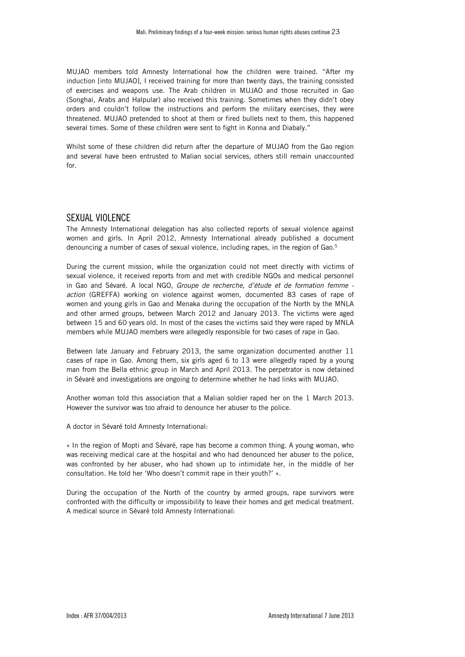MUJAO members told Amnesty International how the children were trained. "After my induction [into MUJAO], I received training for more than twenty days, the training consisted of exercises and weapons use. The Arab children in MUJAO and those recruited in Gao (Songhai, Arabs and Halpular) also received this training. Sometimes when they didn't obey orders and couldn't follow the instructions and perform the military exercises, they were threatened. MUJAO pretended to shoot at them or fired bullets next to them, this happened several times. Some of these children were sent to fight in Konna and Diabaly."

Whilst some of these children did return after the departure of MUJAO from the Gao region and several have been entrusted to Malian social services, others still remain unaccounted for.

#### SEXUAL VIOLENCE

The Amnesty International delegation has also collected reports of sexual violence against women and girls. In April 2012, Amnesty International already published a document denouncing a number of cases of sexual violence, including rapes, in the region of Gao.<sup>5</sup>

During the current mission, while the organization could not meet directly with victims of sexual violence, it received reports from and met with credible NGOs and medical personnel in Gao and Sévaré. A local NGO, *Groupe de recherche, d'étude et de formation femme action* (GREFFA) working on violence against women, documented 83 cases of rape of women and young girls in Gao and Menaka during the occupation of the North by the MNLA and other armed groups, between March 2012 and January 2013. The victims were aged between 15 and 60 years old. In most of the cases the victims said they were raped by MNLA members while MUJAO members were allegedly responsible for two cases of rape in Gao.

Between late January and February 2013, the same organization documented another 11 cases of rape in Gao. Among them, six girls aged 6 to 13 were allegedly raped by a young man from the Bella ethnic group in March and April 2013. The perpetrator is now detained in Sévaré and investigations are ongoing to determine whether he had links with MUJAO.

Another woman told this association that a Malian soldier raped her on the 1 March 2013. However the survivor was too afraid to denounce her abuser to the police.

A doctor in Sévaré told Amnesty International:

« In the region of Mopti and Sévaré, rape has become a common thing. A young woman, who was receiving medical care at the hospital and who had denounced her abuser to the police, was confronted by her abuser, who had shown up to intimidate her, in the middle of her consultation. He told her 'Who doesn't commit rape in their youth?' ».

During the occupation of the North of the country by armed groups, rape survivors were confronted with the difficulty or impossibility to leave their homes and get medical treatment. A medical source in Sévaré told Amnesty International: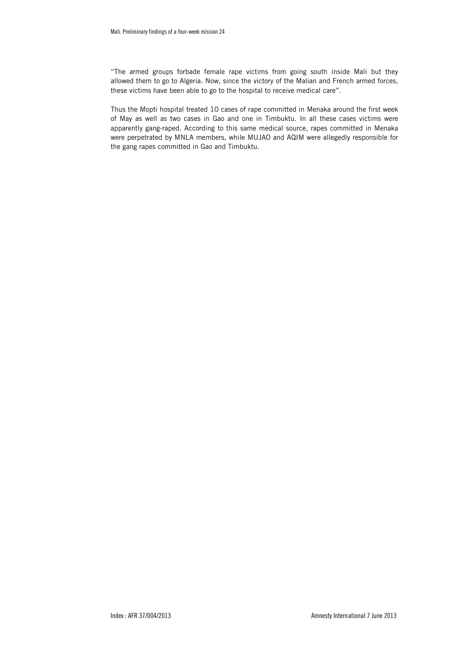"The armed groups forbade female rape victims from going south inside Mali but they allowed them to go to Algeria. Now, since the victory of the Malian and French armed forces, these victims have been able to go to the hospital to receive medical care".

Thus the Mopti hospital treated 10 cases of rape committed in Menaka around the first week of May as well as two cases in Gao and one in Timbuktu. In all these cases victims were apparently gang-raped. According to this same medical source, rapes committed in Menaka were perpetrated by MNLA members, while MUJAO and AQIM were allegedly responsible for the gang rapes committed in Gao and Timbuktu.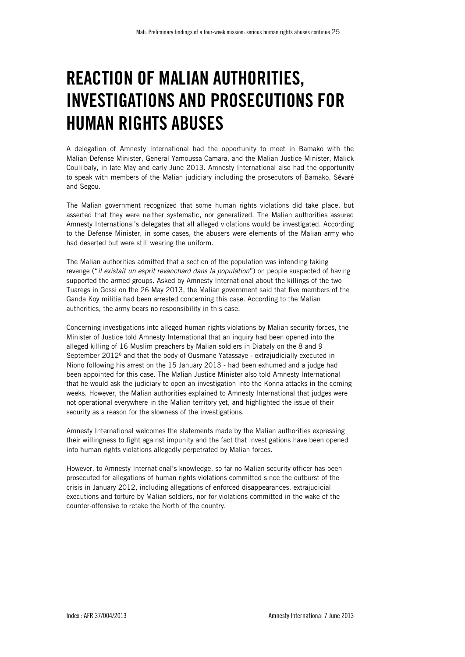## REACTION OF MALIAN AUTHORITIES, INVESTIGATIONS AND PROSECUTIONS FOR HUMAN RIGHTS ABUSES

A delegation of Amnesty International had the opportunity to meet in Bamako with the Malian Defense Minister, General Yamoussa Camara, and the Malian Justice Minister, Malick Coulilbaly, in late May and early June 2013. Amnesty International also had the opportunity to speak with members of the Malian judiciary including the prosecutors of Bamako, Sévaré and Segou.

The Malian government recognized that some human rights violations did take place, but asserted that they were neither systematic, nor generalized. The Malian authorities assured Amnesty International's delegates that all alleged violations would be investigated. According to the Defense Minister, in some cases, the abusers were elements of the Malian army who had deserted but were still wearing the uniform.

The Malian authorities admitted that a section of the population was intending taking revenge ("*il existait un esprit revanchard dans la population*") on people suspected of having supported the armed groups. Asked by Amnesty International about the killings of the two Tuaregs in Gossi on the 26 May 2013, the Malian government said that five members of the Ganda Koy militia had been arrested concerning this case. According to the Malian authorities, the army bears no responsibility in this case.

Concerning investigations into alleged human rights violations by Malian security forces, the Minister of Justice told Amnesty International that an inquiry had been opened into the alleged killing of 16 Muslim preachers by Malian soldiers in Diabaly on the 8 and 9 September 2012<sup>6</sup> and that the body of Ousmane Yatassaye - extrajudicially executed in Niono following his arrest on the 15 January 2013 - had been exhumed and a judge had been appointed for this case. The Malian Justice Minister also told Amnesty International that he would ask the judiciary to open an investigation into the Konna attacks in the coming weeks. However, the Malian authorities explained to Amnesty International that judges were not operational everywhere in the Malian territory yet, and highlighted the issue of their security as a reason for the slowness of the investigations.

Amnesty International welcomes the statements made by the Malian authorities expressing their willingness to fight against impunity and the fact that investigations have been opened into human rights violations allegedly perpetrated by Malian forces.

However, to Amnesty International's knowledge, so far no Malian security officer has been prosecuted for allegations of human rights violations committed since the outburst of the crisis in January 2012, including allegations of enforced disappearances, extrajudicial executions and torture by Malian soldiers, nor for violations committed in the wake of the counter-offensive to retake the North of the country.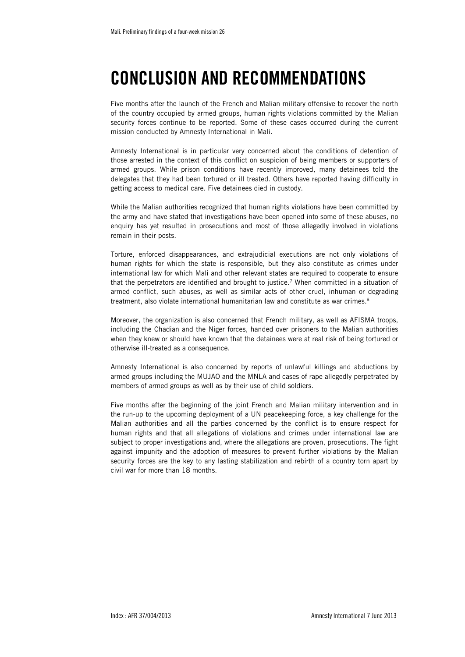## CONCLUSION AND RECOMMENDATIONS

Five months after the launch of the French and Malian military offensive to recover the north of the country occupied by armed groups, human rights violations committed by the Malian security forces continue to be reported. Some of these cases occurred during the current mission conducted by Amnesty International in Mali.

Amnesty International is in particular very concerned about the conditions of detention of those arrested in the context of this conflict on suspicion of being members or supporters of armed groups. While prison conditions have recently improved, many detainees told the delegates that they had been tortured or ill treated. Others have reported having difficulty in getting access to medical care. Five detainees died in custody.

While the Malian authorities recognized that human rights violations have been committed by the army and have stated that investigations have been opened into some of these abuses, no enquiry has yet resulted in prosecutions and most of those allegedly involved in violations remain in their posts.

Torture, enforced disappearances, and extrajudicial executions are not only violations of human rights for which the state is responsible, but they also constitute as crimes under international law for which Mali and other relevant states are required to cooperate to ensure that the perpetrators are identified and brought to justice.7 When committed in a situation of armed conflict, such abuses, as well as similar acts of other cruel, inhuman or degrading treatment, also violate international humanitarian law and constitute as war crimes.<sup>8</sup>

Moreover, the organization is also concerned that French military, as well as AFISMA troops, including the Chadian and the Niger forces, handed over prisoners to the Malian authorities when they knew or should have known that the detainees were at real risk of being tortured or otherwise ill-treated as a consequence.

Amnesty International is also concerned by reports of unlawful killings and abductions by armed groups including the MUJAO and the MNLA and cases of rape allegedly perpetrated by members of armed groups as well as by their use of child soldiers.

Five months after the beginning of the joint French and Malian military intervention and in the run-up to the upcoming deployment of a UN peacekeeping force, a key challenge for the Malian authorities and all the parties concerned by the conflict is to ensure respect for human rights and that all allegations of violations and crimes under international law are subject to proper investigations and, where the allegations are proven, prosecutions. The fight against impunity and the adoption of measures to prevent further violations by the Malian security forces are the key to any lasting stabilization and rebirth of a country torn apart by civil war for more than 18 months.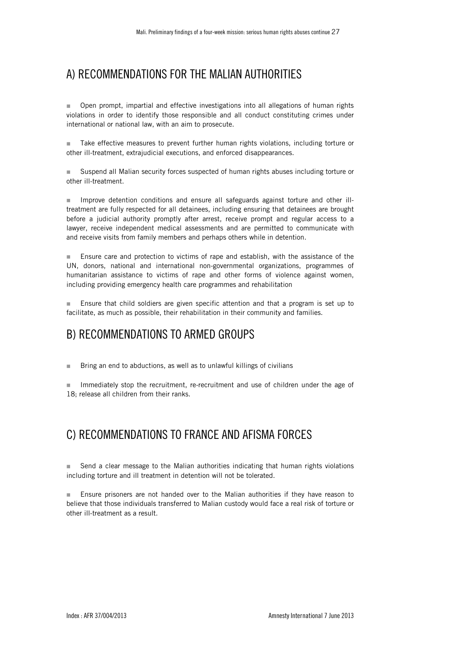### A) RECOMMENDATIONS FOR THE MALIAN AUTHORITIES

**Deen prompt, impartial and effective investigations into all allegations of human rights** violations in order to identify those responsible and all conduct constituting crimes under international or national law, with an aim to prosecute.

Take effective measures to prevent further human rights violations, including torture or other ill-treatment, extrajudicial executions, and enforced disappearances.

 Suspend all Malian security forces suspected of human rights abuses including torture or other ill-treatment.

Improve detention conditions and ensure all safeguards against torture and other illtreatment are fully respected for all detainees, including ensuring that detainees are brought before a judicial authority promptly after arrest, receive prompt and regular access to a lawyer, receive independent medical assessments and are permitted to communicate with and receive visits from family members and perhaps others while in detention.

**Ensure care and protection to victims of rape and establish, with the assistance of the** UN, donors, national and international non-governmental organizations, programmes of humanitarian assistance to victims of rape and other forms of violence against women, including providing emergency health care programmes and rehabilitation

**Ensure that child soldiers are given specific attention and that a program is set up to** facilitate, as much as possible, their rehabilitation in their community and families.

### B) RECOMMENDATIONS TO ARMED GROUPS

**Bring an end to abductions, as well as to unlawful killings of civilians** 

 Immediately stop the recruitment, re-recruitment and use of children under the age of 18; release all children from their ranks.

### C) RECOMMENDATIONS TO FRANCE AND AFISMA FORCES

■ Send a clear message to the Malian authorities indicating that human rights violations including torture and ill treatment in detention will not be tolerated.

**Ensure prisoners are not handed over to the Malian authorities if they have reason to** believe that those individuals transferred to Malian custody would face a real risk of torture or other ill-treatment as a result.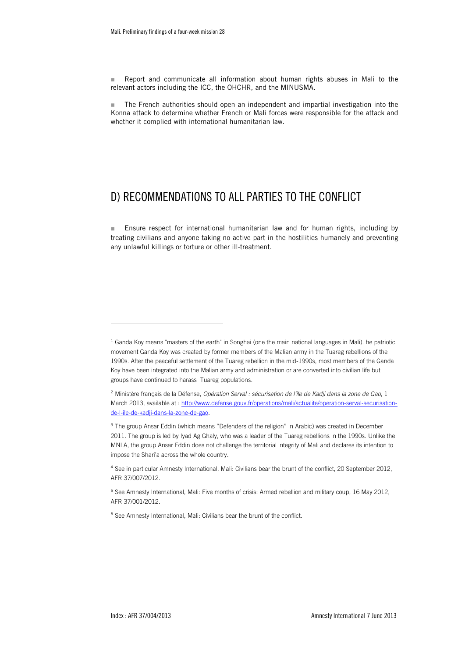**Report and communicate all information about human rights abuses in Mali to the** relevant actors including the ICC, the OHCHR, and the MINUSMA.

 The French authorities should open an independent and impartial investigation into the Konna attack to determine whether French or Mali forces were responsible for the attack and whether it complied with international humanitarian law.

### D) RECOMMENDATIONS TO ALL PARTIES TO THE CONFLICT

**Ensure respect for international humanitarian law and for human rights, including by** treating civilians and anyone taking no active part in the hostilities humanely and preventing any unlawful killings or torture or other ill-treatment.

<sup>4</sup> See in particular Amnesty International, Mali: Civilians bear the brunt of the conflict, 20 September 2012, AFR 37/007/2012.

<sup>5</sup> See Amnesty International, Mali: Five months of crisis: Armed rebellion and military coup, 16 May 2012, AFR 37/001/2012.

<sup>6</sup> See Amnesty International, Mali: Civilians bear the brunt of the conflict.

1

<sup>&</sup>lt;sup>1</sup> Ganda Koy means "masters of the earth" in Songhai (one the main national languages in Mali). he patriotic movement Ganda Koy was created by former members of the Malian army in the Tuareg rebellions of the 1990s. After the peaceful settlement of the Tuareg rebellion in the mid-1990s, most members of the Ganda Koy have been integrated into the Malian army and administration or are converted into civilian life but groups have continued to harass Tuareg populations.

<sup>2</sup> Ministère français de la Défense, *Opération Serval : sécurisation de l'île de Kadji dans la zone de Gao*, 1 March 2013, available at : http://www.defense.gouv.fr/operations/mali/actualite/operation-serval-securisationde-l-ile-de-kadji-dans-la-zone-de-gao.

<sup>&</sup>lt;sup>3</sup> The group Ansar Eddin (which means "Defenders of the religion" in Arabic) was created in December 2011. The group is led by Iyad Ag Ghaly, who was a leader of the Tuareg rebellions in the 1990s. Unlike the MNLA, the group Ansar Eddin does not challenge the territorial integrity of Mali and declares its intention to impose the Shari'a across the whole country.